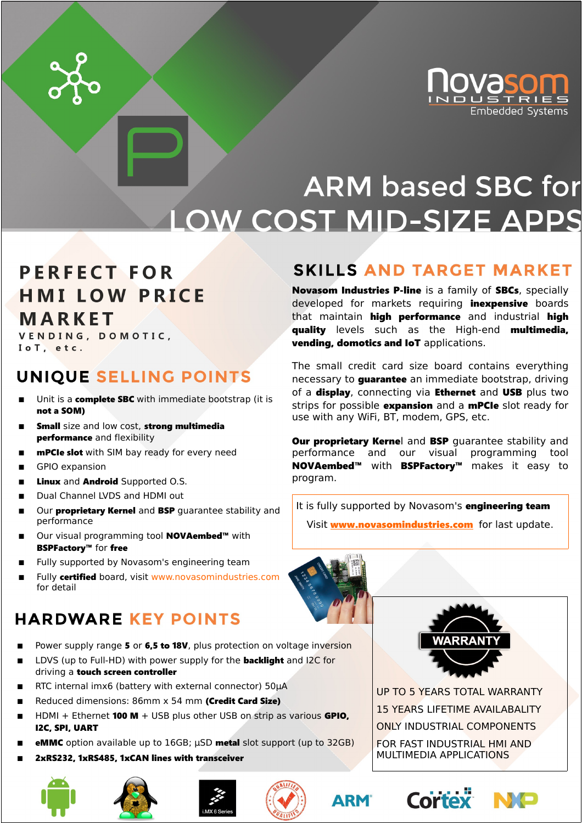

### **ARM based SBC for LOW COST MID-SIZE APPS**

### **PERFECT FOR HMI LOW PRICE MARKET**

VENDING, DOMOTIC, IoT, etc.

#### UNIQUE SELLING POINTS

- Unit is a **complete SBC** with immediate bootstrap (it is not a SOM)
- Small size and low cost, strong multimedia performance and flexibility
- mPCIe slot with SIM bay ready for every need
- GPIO expansion
- Linux and Android Supported O.S.
- Dual Channel LVDS and HDMI out
- Our **proprietary Kernel** and **BSP** quarantee stability and performance
- Our visual programming tool **NOVAembed™** with BSPFactory™ for free
- Fully supported by Novasom's engineering team
- Fully certified board, visit www.novasomindustries.com for detail

### **HARDWARE KEY POINTS**

- Power supply range 5 or 6,5 to 18V, plus protection on voltage inversion
- LDVS (up to Full-HD) with power supply for the **backlight** and I2C for driving a touch screen controller
- RTC internal imx6 (battery with external connector) 50μA
- Reduced dimensions: 86mm x 54 mm (Credit Card Size)
- HDMI + Ethernet **100 M** + USB plus other USB on strip as various **GPIO.** I2C, SPI, UART
- eMMC option available up to 16GB; μSD metal slot support (up to 32GB)
- 2xRS232, 1xRS485, 1xCAN lines with transceiver









#### **SKILLS AND TARGET MARKET**

Novasom Industries P-line is a family of SBCs, specially developed for markets requiring **inexpensive** boards that maintain high performance and industrial high quality levels such as the High-end multimedia, vending, domotics and IoT applications.

The small credit card size board contains everything necessary to **guarantee** an immediate bootstrap, driving of a **display**, connecting via **Ethernet** and **USB** plus two strips for possible expansion and a mPCIe slot ready for use with any WiFi, BT, modem, GPS, etc.

**Our proprietary Kernel and BSP** quarantee stability and performance and our visual programming tool NOVAembed™ with BSPFactory™ makes it easy to program.

It is fully supported by Novasom's engineering team

Visit **www.novasomindustries.com** for last update.





UP TO 5 YEARS TOTAL WARRANTY 15 YEARS LIFETIME AVAILABALITY ONLY INDUSTRIAL COMPONENTS FOR FAST INDUSTRIAL HMI AND MULTIMEDIA APPLICATIONS